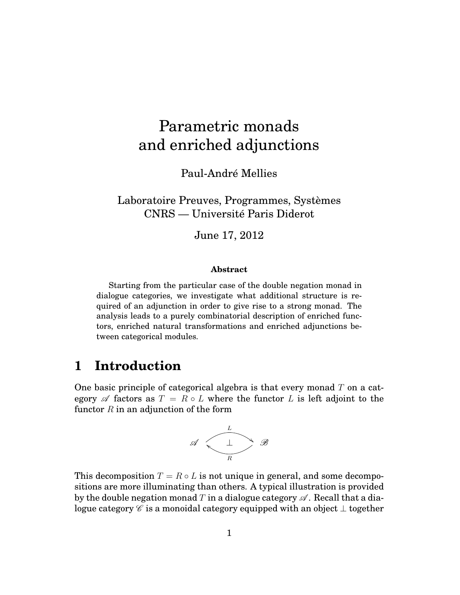# Parametric monads and enriched adjunctions

Paul-André Mellies

Laboratoire Preuves, Programmes, Systèmes CNRS — Université Paris Diderot

June 17, 2012

#### **Abstract**

Starting from the particular case of the double negation monad in dialogue categories, we investigate what additional structure is required of an adjunction in order to give rise to a strong monad. The analysis leads to a purely combinatorial description of enriched functors, enriched natural transformations and enriched adjunctions between categorical modules.

### **1 Introduction**

One basic principle of categorical algebra is that every monad *T* on a category  $\mathscr A$  factors as  $T = R \circ L$  where the functor  $L$  is left adjoint to the functor *R* in an adjunction of the form



This decomposition  $T = R \circ L$  is not unique in general, and some decompositions are more illuminating than others. A typical illustration is provided by the double negation monad *T* in a dialogue category  $\mathscr A$ . Recall that a dialogue category  $\mathscr C$  is a monoidal category equipped with an object  $\perp$  together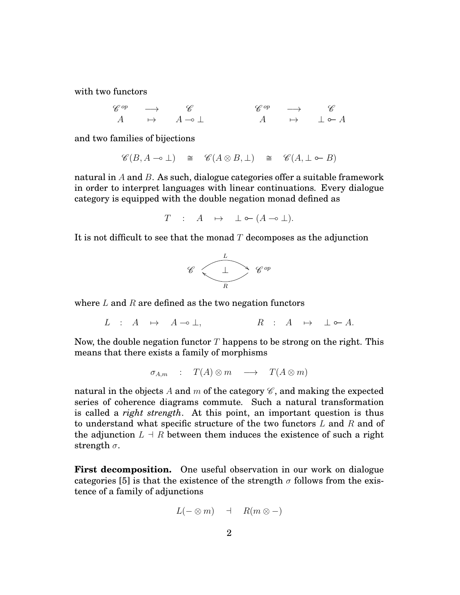with two functors

$$
\begin{array}{ccccccccc}\n\mathscr{C}^{op} & \longrightarrow & \mathscr{C} & & \mathscr{C}^{op} & \longrightarrow & \mathscr{C} \\
A & \mapsto & A \multimap \bot & & A & \mapsto & \bot \circarrow A\n\end{array}
$$

and two families of bijections

$$
\mathscr{C}(B, A \multimap \bot) \cong \mathscr{C}(A \otimes B, \bot) \cong \mathscr{C}(A, \bot \multimap B)
$$

natural in *A* and *B*. As such, dialogue categories offer a suitable framework in order to interpret languages with linear continuations. Every dialogue category is equipped with the double negation monad defined as

$$
T : A \mapsto \perp \circ (A \multimap \perp).
$$

It is not difficult to see that the monad *T* decomposes as the adjunction



where *L* and *R* are defined as the two negation functors

 $L$  :  $A \mapsto A \to \perp$ ,  $R$  :  $A \mapsto \perp \circ A$ .

Now, the double negation functor *T* happens to be strong on the right. This means that there exists a family of morphisms

$$
\sigma_{A,m} : T(A) \otimes m \longrightarrow T(A \otimes m)
$$

natural in the objects A and m of the category  $\mathscr{C}$ , and making the expected series of coherence diagrams commute. Such a natural transformation is called a *right strength*. At this point, an important question is thus to understand what specific structure of the two functors *L* and *R* and of the adjunction  $L \dashv R$  between them induces the existence of such a right strength *σ*.

**First decomposition.** One useful observation in our work on dialogue categories [5] is that the existence of the strength  $\sigma$  follows from the existence of a family of adjunctions

$$
L(-\otimes m) \quad \dashv \quad R(m\otimes -)
$$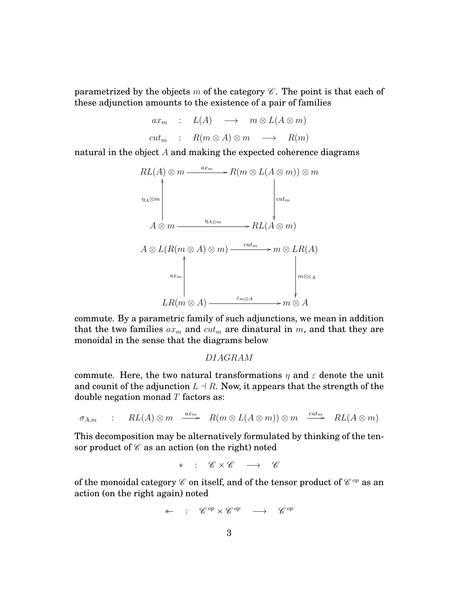parametrized by the objects *m* of the category  $\mathscr C$ . The point is that each of these adjunction amounts to the existence of a pair of families

$$
ax_m : L(A) \longrightarrow m \otimes L(A \otimes m)
$$
  

$$
cut_m : R(m \otimes A) \otimes m \longrightarrow R(m)
$$

natural in the object *A* and making the expected coherence diagrams



commute. By a parametric family of such adjunctions, we mean in addition that the two families  $ax_m$  and  $cut_m$  are dinatural in  $m$ , and that they are monoidal in the sense that the diagrams below

*DIAGRAM*

commute. Here, the two natural transformations  $\eta$  and  $\varepsilon$  denote the unit and counit of the adjunction  $L \dashv R$ . Now, it appears that the strength of the double negation monad *T* factors as:

$$
\sigma_{A,m} \qquad : \qquad RL(A) \otimes m \quad \stackrel{ax_m}{\longrightarrow} \quad R(m \otimes L(A \otimes m)) \otimes m \quad \stackrel{cut_m}{\longrightarrow} \quad RL(A \otimes m)
$$

This decomposition may be alternatively formulated by thinking of the tensor product of  $\mathscr C$  as an action (on the right) noted

∗ : C × C −→ C

of the monoidal category  $\mathscr C$  on itself, and of the tensor product of  $\mathscr C^{op}$  as an action (on the right again) noted

$$
\ast\!\!\!\!\!*\;\;:\;\;\mathscr{C}^{op}\times\mathscr{C}^{op}\;\;\longrightarrow\;\;\mathscr{C}^{op}
$$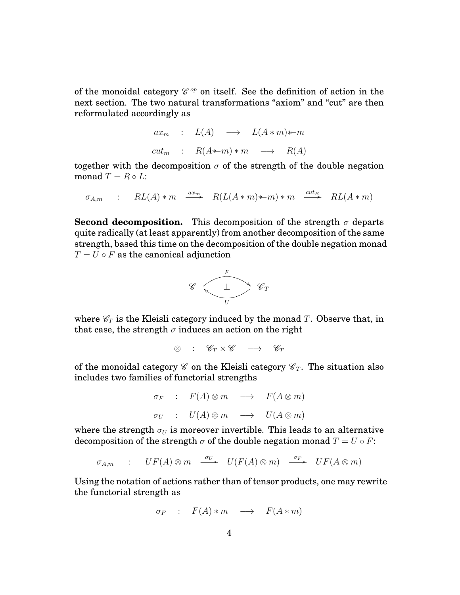of the monoidal category  $\mathscr{C}^{op}$  on itself. See the definition of action in the next section. The two natural transformations "axiom" and "cut" are then reformulated accordingly as

$$
ax_m : L(A) \longrightarrow L(A*m)*m
$$
  

$$
cut_m : R(A*m)*m \longrightarrow R(A)
$$

together with the decomposition  $\sigma$  of the strength of the double negation monad  $T = R \circ L$ :

$$
\sigma_{A,m} \qquad : \qquad RL(A) * m \quad \xrightarrow{ax_m} \quad R(L(A*m)*m) * m \quad \xrightarrow{cut_B} \quad RL(A*m)
$$

**Second decomposition.** This decomposition of the strength  $\sigma$  departs quite radically (at least apparently) from another decomposition of the same strength, based this time on the decomposition of the double negation monad  $T = U \circ F$  as the canonical adjunction



where  $\mathcal{C}_T$  is the Kleisli category induced by the monad *T*. Observe that, in that case, the strength  $\sigma$  induces an action on the right

$$
\otimes \quad : \quad \mathscr{C}_T \times \mathscr{C} \quad \longrightarrow \quad \mathscr{C}_T
$$

of the monoidal category  $\mathscr C$  on the Kleisli category  $\mathscr C_T$ . The situation also includes two families of functorial strengths

$$
\begin{array}{rcl}\n\sigma_F & : & F(A) \otimes m \quad \longrightarrow & F(A \otimes m) \\
\sigma_U & : & U(A) \otimes m \quad \longrightarrow & U(A \otimes m)\n\end{array}
$$

where the strength  $\sigma_U$  is moreover invertible. This leads to an alternative decomposition of the strength  $\sigma$  of the double negation monad  $T = U \circ F$ :

 $\sigma_{A,m}$  :  $UF(A) \otimes m \xrightarrow{\sigma_U} U(F(A) \otimes m) \xrightarrow{\sigma_F} UF(A \otimes m)$ 

Using the notation of actions rather than of tensor products, one may rewrite the functorial strength as

$$
\sigma_F \quad : \quad F(A) * m \quad \longrightarrow \quad F(A * m)
$$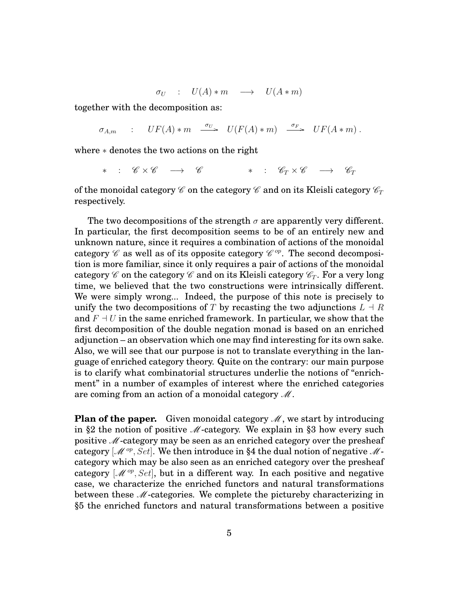$$
\sigma_U : U(A) * m \longrightarrow U(A * m)
$$

together with the decomposition as:

$$
\sigma_{A,m} \qquad : \qquad UF(A) * m \quad \xrightarrow{\sigma_U} \qquad U(F(A) * m) \quad \xrightarrow{\sigma_F} \qquad UF(A * m) \; .
$$

where ∗ denotes the two actions on the right

$$
* \ : \ \mathscr{C} \times \mathscr{C} \ \ \longrightarrow \ \ \mathscr{C} \qquad \qquad * \ \ : \ \ \mathscr{C}_T \times \mathscr{C} \ \ \longrightarrow \ \ \mathscr{C}_T
$$

of the monoidal category  $\mathscr C$  on the category  $\mathscr C$  and on its Kleisli category  $\mathscr C_T$ respectively.

The two decompositions of the strength  $\sigma$  are apparently very different. In particular, the first decomposition seems to be of an entirely new and unknown nature, since it requires a combination of actions of the monoidal category  $\mathscr C$  as well as of its opposite category  $\mathscr C^{op}$ . The second decomposition is more familiar, since it only requires a pair of actions of the monoidal category  $\mathscr C$  on the category  $\mathscr C$  and on its Kleisli category  $\mathscr C_T$ . For a very long time, we believed that the two constructions were intrinsically different. We were simply wrong... Indeed, the purpose of this note is precisely to unify the two decompositions of *T* by recasting the two adjunctions  $L \dashv R$ and  $F \dashv U$  in the same enriched framework. In particular, we show that the first decomposition of the double negation monad is based on an enriched adjunction – an observation which one may find interesting for its own sake. Also, we will see that our purpose is not to translate everything in the language of enriched category theory. Quite on the contrary: our main purpose is to clarify what combinatorial structures underlie the notions of "enrichment" in a number of examples of interest where the enriched categories are coming from an action of a monoidal category  $\mathcal{M}$ .

**Plan of the paper.** Given monoidal category  $M$ , we start by introducing in §2 the notion of positive  $M$ -category. We explain in §3 how every such positive M-category may be seen as an enriched category over the presheaf category  $\left[\mathcal{M}^{op}, Set\right]$ . We then introduce in §4 the dual notion of negative  $\mathcal{M}$ category which may be also seen as an enriched category over the presheaf category  $[\mathcal{M}^{op}, Set]$ , but in a different way. In each positive and negative case, we characterize the enriched functors and natural transformations between these  $M$ -categories. We complete the picture by characterizing in §5 the enriched functors and natural transformations between a positive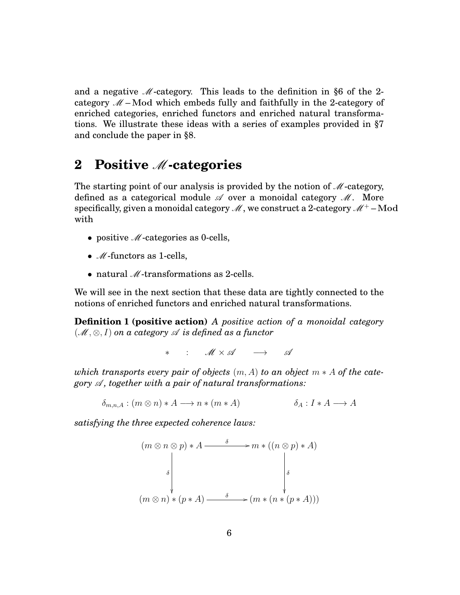and a negative  $\mathcal{M}$ -category. This leads to the definition in §6 of the 2category  $M$  – Mod which embeds fully and faithfully in the 2-category of enriched categories, enriched functors and enriched natural transformations. We illustrate these ideas with a series of examples provided in §7 and conclude the paper in §8.

### **2 Positive** M**-categories**

The starting point of our analysis is provided by the notion of  $M$ -category, defined as a categorical module  $\mathscr A$  over a monoidal category  $\mathscr M$ . More specifically, given a monoidal category  $\mathcal{M}$ , we construct a 2-category  $\mathcal{M}^+$  – Mod with

- positive  $\mathcal{M}$ -categories as 0-cells,
- $M$ -functors as 1-cells,
- natural  $\mathcal{M}$ -transformations as 2-cells.

We will see in the next section that these data are tightly connected to the notions of enriched functors and enriched natural transformations.

**Definition 1 (positive action)** *A positive action of a monoidal category*  $(\mathcal{M}, \otimes, I)$  on a category  $\mathcal A$  *is defined as a functor* 

∗ : M × A −→ A

*which transports every pair of objects*  $(m, A)$  *to an object*  $m * A$  *of the category*  $\mathscr A$ , together with a pair of natural transformations:

 $\delta_{m,n,A}: (m \otimes n) * A \longrightarrow n * (m * A)$   $\delta_A: I * A \longrightarrow A$ 

*satisfying the three expected coherence laws:*

$$
(m \otimes n \otimes p) * A \xrightarrow{\delta} m * ((n \otimes p) * A)
$$
\n
$$
\downarrow \qquad \qquad \downarrow
$$
\n
$$
(m \otimes n) * (p * A) \xrightarrow{\delta} (m * (n * (p * A)))
$$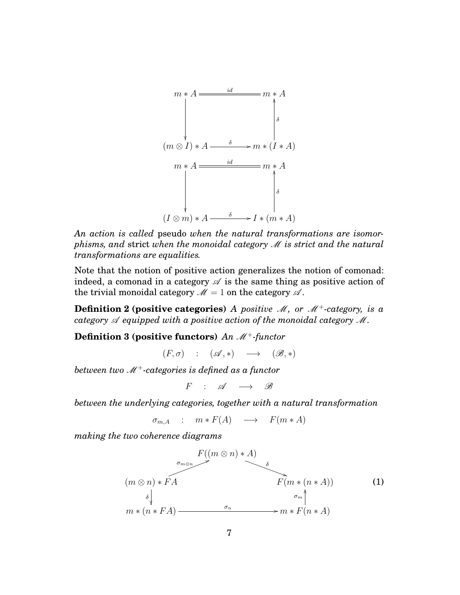

*An action is called* pseudo *when the natural transformations are isomorphisms, and* strict *when the monoidal category* M *is strict and the natural transformations are equalities.*

Note that the notion of positive action generalizes the notion of comonad: indeed, a comonad in a category  $\mathscr A$  is the same thing as positive action of the trivial monoidal category  $\mathcal{M} = 1$  on the category  $\mathcal{A}$ .

**Definition 2 (positive categories)** *A positive M*, or  $M^+$ -category, is a *category*  $\mathscr A$  *equipped with a positive action of the monoidal category*  $\mathscr M$ .

**Definition 3 (positive functors)** An  $M^+$ -functor

 $(F, \sigma)$  :  $(\mathscr{A}, *)$   $\longrightarrow$   $(\mathscr{B}, *)$ 

*between two* M<sup>+</sup>*-categories is defined as a functor*

 $F$  :  $\mathscr{A}$   $\longrightarrow$   $\mathscr{B}$ 

*between the underlying categories, together with a natural transformation*

 $\sigma_{m,A}$  :  $m * F(A) \longrightarrow F(m*A)$ 

*making the two coherence diagrams*

$$
F((m \otimes n) * A)
$$
\n
$$
(m \otimes n) * F A
$$
\n
$$
\begin{array}{ccc}\n\sigma_{m \otimes n} & & \nearrow & \delta \\
\downarrow & & & F(m * (n * A)) \\
\downarrow & & & \downarrow \\
\downarrow & & & & \downarrow \\
m * (n * F A) & & & & & \downarrow \\
\end{array}
$$
\n
$$
(1)
$$
\n
$$
m * (n * F A)
$$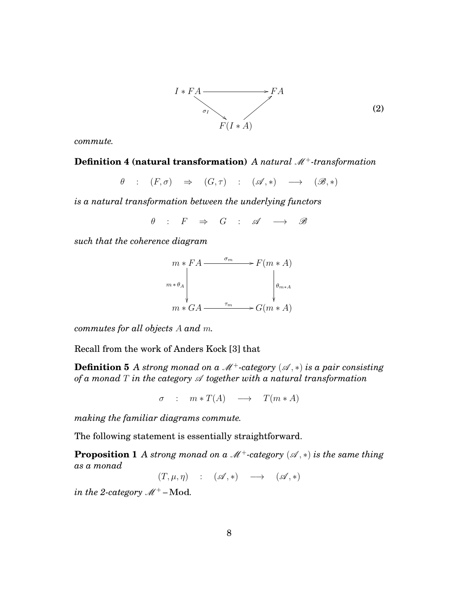

*commute.*

#### **Definition 4 (natural transformation)** *A natural*  $M^+$ -transformation

$$
\theta : (F, \sigma) \Rightarrow (G, \tau) : (\mathscr{A}, *) \longrightarrow (\mathscr{B}, *)
$$

*is a natural transformation between the underlying functors*

 $\theta$  :  $F \Rightarrow G$  :  $\mathscr{A} \longrightarrow \mathscr{B}$ 

*such that the coherence diagram*



*commutes for all objects A and m.*

Recall from the work of Anders Kock [3] that

**Definition 5** A strong monad on a  $M^+$ -category  $(A, *)$  is a pair consisting *of a monad*  $T$  *in the category*  $\mathscr A$  *together with a natural transformation* 

 $\sigma$  :  $m * T(A) \longrightarrow T(m * A)$ 

*making the familiar diagrams commute.*

The following statement is essentially straightforward.

**Proposition 1** *A strong monad on a*  $M^+$ -category  $(A, *)$  *is the same thing as a monad*

 $(T, \mu, \eta)$  :  $(\mathscr{A}, *)$   $\longrightarrow$   $(\mathscr{A}, *)$ 

*in the 2-category*  $M^+$  – Mod.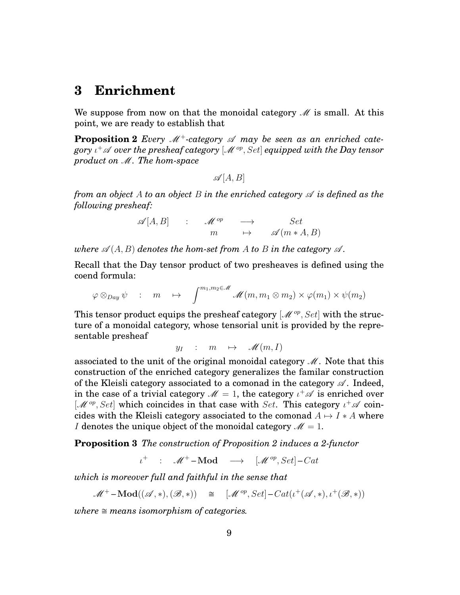#### **3 Enrichment**

We suppose from now on that the monoidal category  $\mathcal M$  is small. At this point, we are ready to establish that

**Proposition 2** *Every*  $M^+$ -category  $\mathscr A$  *may be seen as an enriched category ι* <sup>+</sup>A *over the presheaf category* [M *op, Set*] *equipped with the Day tensor product on* M*. The hom-space*

$$
\mathscr{A}[A,B]
$$

*from an object A to an object B in the enriched category*  $\mathscr A$  *is defined as the following presheaf:*

> $\mathscr{A}[A,B]$  :  $\mathscr{M}^{op} \longrightarrow$  *Set*  $m \qquad \mapsto \qquad \mathscr{A}(m * A, B)$

*where*  $\mathscr{A}(A, B)$  *denotes the hom-set from* A *to* B *in the category*  $\mathscr{A}$ *.* 

Recall that the Day tensor product of two presheaves is defined using the coend formula:

$$
\varphi \otimes_{Day} \psi \quad : \quad m \quad \mapsto \quad \int^{m_1, m_2 \in \mathscr{M}} \mathscr{M}(m, m_1 \otimes m_2) \times \varphi(m_1) \times \psi(m_2)
$$

This tensor product equips the presheaf category [M *op, Set*] with the structure of a monoidal category, whose tensorial unit is provided by the representable presheaf

$$
y_I \quad : \quad m \quad \mapsto \quad \mathscr{M}(m,I)
$$

associated to the unit of the original monoidal category  $\mathcal{M}$ . Note that this construction of the enriched category generalizes the familar construction of the Kleisli category associated to a comonad in the category  $\mathscr A$ . Indeed, in the case of a trivial category  $\mathscr{M}=1,$  the category  $\iota^+\mathscr{A}$  is enriched over [M<sup>op</sup>, Set] which coincides in that case with *Set*. This category  $ι^+$  α coincides with the Kleisli category associated to the comonad  $A \mapsto I * A$  where *I* denotes the unique object of the monoidal category  $\mathcal{M} = 1$ .

**Proposition 3** *The construction of Proposition 2 induces a 2-functor*

 $\iota^+$  :  $\mathcal{M}^+$  – **Mod**  $\longrightarrow$   $[\mathcal{M}^{op}, Set]$  – *Cat* 

*which is moreover full and faithful in the sense that*

 $\mathscr{M}^+$ **-Mod** $((\mathscr{A}, *), (\mathscr{B}, *) )$   $\cong$   $[\mathscr{M}^{op}, Set]$ - $Cat(\iota^+(\mathscr{A}, *), \iota^+(\mathscr{B}, *) )$ 

*where*  $\cong$  *means isomorphism of categories.*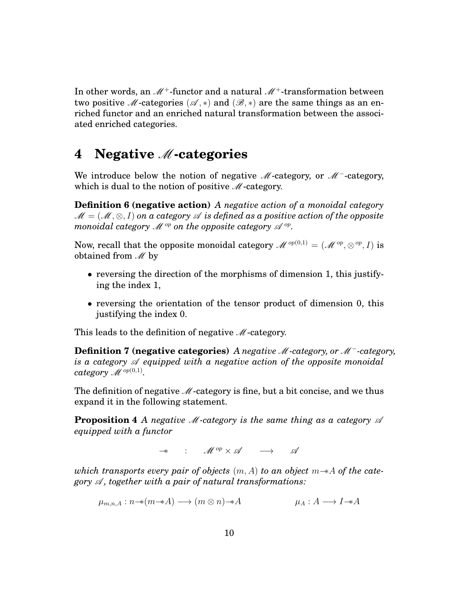In other words, an  $M^+$ -functor and a natural  $M^+$ -transformation between two positive M-categories ( $\mathscr{A}, *$ ) and ( $\mathscr{B}, *$ ) are the same things as an enriched functor and an enriched natural transformation between the associated enriched categories.

#### **4 Negative** M**-categories**

We introduce below the notion of negative M-category, or M<sup>-</sup>-category, which is dual to the notion of positive  $\mathcal{M}$ -category.

**Definition 6 (negative action)** *A negative action of a monoidal category* M = (M*,* ⊗*, I*) *on a category* A *is defined as a positive action of the opposite*  $\emph{monoidal category $\mathscr{M}^{op}$ on the opposite category $\mathscr{A}^{op}$.}$ 

Now, recall that the opposite monoidal category  $\mathscr{M}^{op(0,1)} = (\mathscr{M}^{op}, \otimes^{op}, I)$  is obtained from  $M$  by

- reversing the direction of the morphisms of dimension 1, this justifying the index 1,
- reversing the orientation of the tensor product of dimension 0, this justifying the index 0.

This leads to the definition of negative  $M$ -category.

**Definition 7 (negative categories)** *A negative* M*-category, or* M<sup>−</sup>*-category, is a category*  $\mathscr A$  *equipped with a negative action of the opposite monoidal*  $category \mathscr{M}^{op(0,1)}.$ 

The definition of negative  $M$ -category is fine, but a bit concise, and we thus expand it in the following statement.

**Proposition 4** *A negative M-category is the same thing as a category*  $\mathscr A$ *equipped with a functor*

−∗ : M *op* × A −→ A

*which transports every pair of objects* (*m, A*) *to an object m*−∗*A of the category*  $\mathscr A$ , together with a pair of natural transformations:

 $\mu_{m,n,A}: n \rightarrow (m \otimes n) \rightarrow A$   $\mu_A: A \rightarrow I \rightarrow A$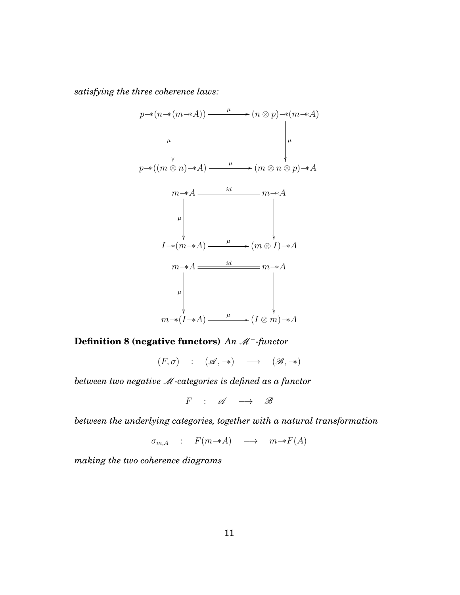*satisfying the three coherence laws:*

$$
p \rightarrow (n \rightarrow (m \rightarrow A)) \longrightarrow (\begin{array}{c} \mu \\ \mu \\ \mu \end{array}) \longrightarrow (n \otimes p) \rightarrow (m \rightarrow A)
$$
\n
$$
p \rightarrow ((m \otimes n) \rightarrow A) \longrightarrow (m \otimes n \otimes p) \rightarrow A
$$
\n
$$
m \rightarrow A \longrightarrow \begin{array}{c} \text{if } \mu \\ \mu \\ \mu \\ \mu \\ \mu \\ \mu \end{array}
$$
\n
$$
I \rightarrow (m \rightarrow A) \longrightarrow (m \otimes I) \rightarrow A
$$
\n
$$
m \rightarrow A \longrightarrow \begin{array}{c} \text{if } \mu \\ \mu \\ \mu \\ \mu \\ \mu \end{array}
$$
\n
$$
m \rightarrow (I \rightarrow A) \longrightarrow (I \otimes m) \rightarrow A
$$

**Definition 8 (negative functors)** *An M*<sup>−</sup>-functor

 $(F, \sigma) : (\mathscr{A}, \twoheadrightarrow) \longrightarrow (\mathscr{B}, \twoheadrightarrow)$ 

*between two negative* M*-categories is defined as a functor*

 $F$  :  $\mathscr{A} \longrightarrow \mathscr{B}$ 

*between the underlying categories, together with a natural transformation*

 $\sigma_{m,A}$  :  $F(m \rightarrow A) \rightarrow m \rightarrow F(A)$ 

*making the two coherence diagrams*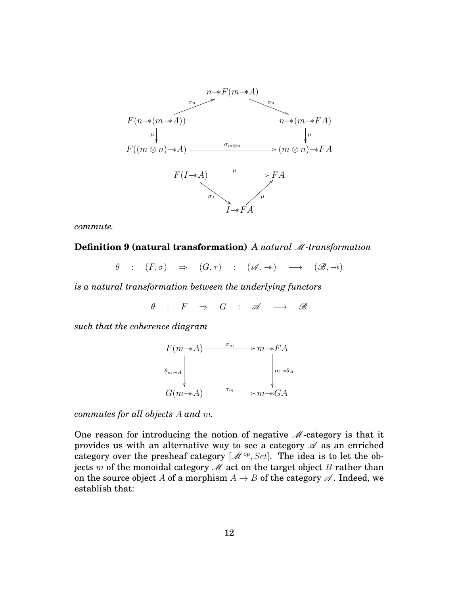

*commute.*

**Definition 9 (natural transformation)** *A natural M*-transformation

 $\theta$  :  $(F,\sigma) \Rightarrow (G,\tau)$  :  $(\mathscr{A},\twoheadrightarrow) \rightarrow (\mathscr{B},\twoheadrightarrow)$ 

*is a natural transformation between the underlying functors*

 $\theta$  :  $F \Rightarrow G$  :  $\mathscr{A} \longrightarrow \mathscr{B}$ 

*such that the coherence diagram*



*commutes for all objects A and m.*

One reason for introducing the notion of negative  $M$ -category is that it provides us with an alternative way to see a category  $\mathscr A$  as an enriched category over the presheaf category  $[\mathcal{M}^{op}, Set]$ . The idea is to let the objects *m* of the monoidal category  $\mathcal M$  act on the target object *B* rather than on the source object *A* of a morphism  $A \rightarrow B$  of the category  $\mathscr A$ . Indeed, we establish that: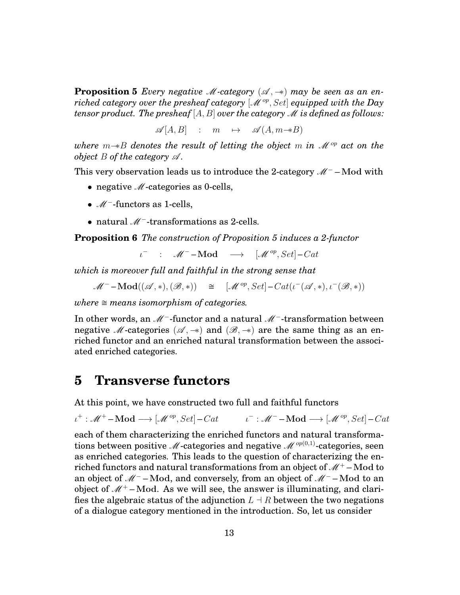**Proposition 5** *Every negative* M-category  $(A, \rightarrow)$  may be seen as an en*riched category over the presheaf category* [ $\mathcal{M}^{op}$ , *Set*] *equipped with the Day tensor product. The presheaf*  $[A, B]$  *over the category*  $M$  *is defined as follows:* 

 $\mathscr{A}[A, B]$  :  $m \mapsto \mathscr{A}(A, m \rightarrow B)$ 

*where m*−∗*B denotes the result of letting the object m in* M *op act on the object B of the category*  $\mathscr A$ *.* 

This very observation leads us to introduce the 2-category  $M^-$  – Mod with

- negative  $M$ -categories as 0-cells,
- M<sup>−</sup>-functors as 1-cells,
- natural *M*<sup>−</sup>-transformations as 2-cells.

**Proposition 6** *The construction of Proposition 5 induces a 2-functor*

*ι*<sup>-</sup> : *M*<sup>-</sup>**-Mod** → [*M*<sup>op</sup>, Set]-Cat

*which is moreover full and faithful in the strong sense that*

 $\mathscr{M}^-$ **-Mod** $((\mathscr{A}, *), (\mathscr{B}, *) ) \cong [\mathscr{M}^{op}, Set] - Cat(\iota^-(\mathscr{A}, *), \iota^-(\mathscr{B}, *) )$ 

*where*  $\cong$  *means isomorphism of categories.* 

In other words, an M<sup>−</sup>-functor and a natural M<sup>−</sup>-transformation between negative M-categories ( $\mathscr{A}, \rightarrow$ ) and ( $\mathscr{B}, \rightarrow$ ) are the same thing as an enriched functor and an enriched natural transformation between the associated enriched categories.

#### **5 Transverse functors**

At this point, we have constructed two full and faithful functors

 $\iota^+$ :  $\mathcal{M}^+$  – **Mod**  $\longrightarrow$   $[\mathcal{M}^{op}, Set]$  – *Cat*  $\iota^-$  :  $\mathcal{M}^-$  – **Mod**  $\longrightarrow$   $[\mathcal{M}^{op}, Set]$  – *Cat* 

each of them characterizing the enriched functors and natural transformations between positive M-categories and negative  $\mathcal{M}^{op(0,1)}$ -categories, seen as enriched categories. This leads to the question of characterizing the enriched functors and natural transformations from an object of  $\mathcal{M}^+$  – Mod to an object of M<sup>−</sup> –**Mod**, and conversely, from an object of M<sup>−</sup> –**Mod** to an object of  $\mathcal{M}^+$  – Mod. As we will see, the answer is illuminating, and clarifies the algebraic status of the adjunction  $L \doteq R$  between the two negations of a dialogue category mentioned in the introduction. So, let us consider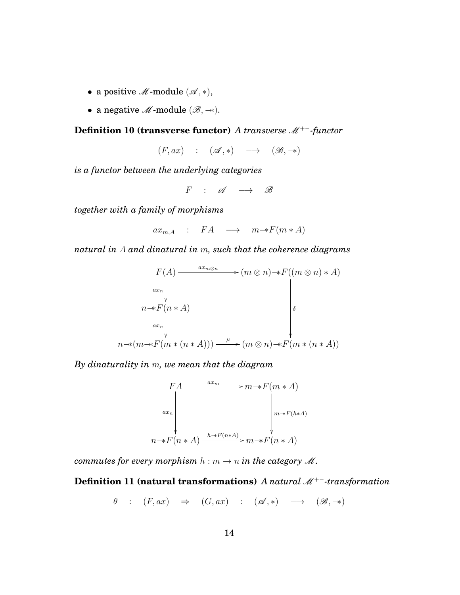- a positive  $M$ -module  $(\mathscr{A}, *)$ ,
- a negative M-module (B*,* −∗).

#### **Definition 10 (transverse functor)** *A transverse* M<sup>+</sup><sup>−</sup>*-functor*

 $(F, ax)$  :  $(\mathscr{A}, *)$   $\longrightarrow$   $(\mathscr{B}, \twoheadrightarrow)$ 

*is a functor between the underlying categories*

 $F$  :  $\mathscr{A} \longrightarrow \mathscr{B}$ 

*together with a family of morphisms*

 $ax_{m,A}$  : *FA*  $\longrightarrow$   $m \rightarrow F(m*A)$ 

*natural in A and dinatural in m, such that the coherence diagrams*

$$
F(A) \xrightarrow{ax_{m\otimes n}} (m \otimes n) \rightarrow F((m \otimes n) * A)
$$
  
\n
$$
n \rightarrow F(n * A)
$$
  
\n
$$
a x_{n} \downarrow
$$
  
\n
$$
n \rightarrow (m * F(m * (n * A))) \xrightarrow{\mu} (m \otimes n) \rightarrow F(m * (n * A))
$$

*By dinaturality in m, we mean that the diagram*



*commutes for every morphism*  $h : m \to n$  *in the category*  $M$ .

**Definition 11 (natural transformations)** *A natural* M<sup>+</sup><sup>−</sup>*-transformation*

$$
\theta : (F, ax) \Rightarrow (G, ax) : (A, *) \longrightarrow (B, **)
$$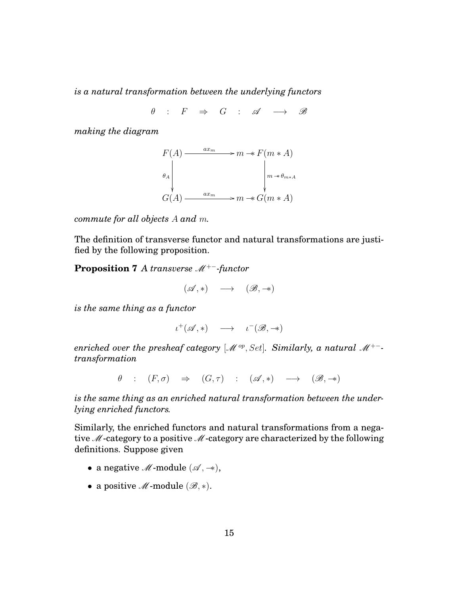*is a natural transformation between the underlying functors*

 $\theta$  :  $F \Rightarrow G$  :  $\mathscr{A} \longrightarrow \mathscr{B}$ 

*making the diagram*



*commute for all objects A and m.*

The definition of transverse functor and natural transformations are justified by the following proposition.

**Proposition 7** *A transverse* M<sup>+</sup><sup>−</sup>*-functor*

$$
(\mathscr{A}, *) \quad \longrightarrow \quad (\mathscr{B}, \twoheadrightarrow)
$$

*is the same thing as a functor*

 $\iota^+(\mathscr{A}, *) \longrightarrow \iota^-(\mathscr{B}, \twoheadrightarrow)$ 

*enriched over the presheaf category* [ $M^{\circ p}$ , *Set*]. Similarly, a natural M<sup>+−</sup>*transformation*

 $\theta$  :  $(F,\sigma) \Rightarrow (G,\tau)$  :  $({\mathscr A},*) \rightarrow ({\mathscr B},\to)$ 

*is the same thing as an enriched natural transformation between the underlying enriched functors.*

Similarly, the enriched functors and natural transformations from a negative  $M$ -category to a positive  $M$ -category are characterized by the following definitions. Suppose given

- a negative  $M$ -module  $(\mathscr{A}, \twoheadrightarrow)$ ,
- a positive  $M$ -module  $(\mathscr{B}, *)$ .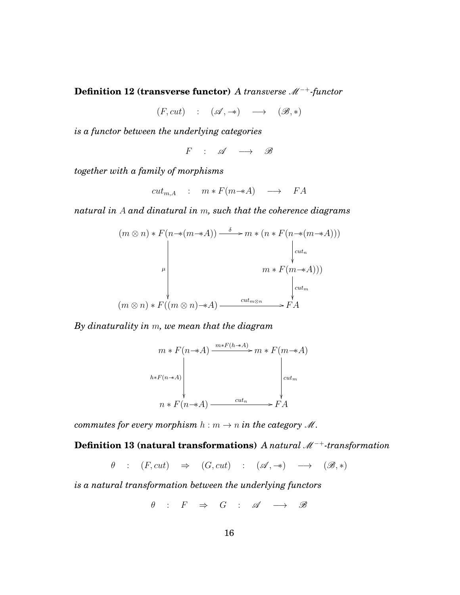**Definition 12 (transverse functor)** *A transverse*  $M^{-+}$ *-functor* 

 $(F, cut)$  :  $({\mathscr A}, \twoheadrightarrow) \longrightarrow ({\mathscr B}, *)$ 

*is a functor between the underlying categories*

 $F$  :  $\mathscr{A} \longrightarrow \mathscr{B}$ 

*together with a family of morphisms*

$$
cut_{m,A} : m * F(m \rightarrow A) \longrightarrow FA
$$

*natural in A and dinatural in m, such that the coherence diagrams*

$$
(m \otimes n) * F(n * (m * A)) \xrightarrow{\delta} m * (n * F(n * (m * A)))
$$
\n
$$
\downarrow^{\text{cut}_n}
$$
\n
$$
m * F(m * A)))
$$
\n
$$
(m \otimes n) * F((m \otimes n) * A) \xrightarrow{\text{cut}_{m \otimes n}} F(A)
$$

*By dinaturality in m, we mean that the diagram*

$$
m * F(n \to A) \xrightarrow{m * F(h \to A)} m * F(m \to A)
$$
\n
$$
h * F(n \to A)
$$
\n
$$
n * F(n \to A) \xrightarrow{cut_n} F(A)
$$

*commutes for every morphism*  $h : m \to n$  *in the category*  $M$ .

**Definition 13 (natural transformations)** *A natural*  $M^{-+}$ *-transformation* 

 $\theta$  :  $(F, cut) \Rightarrow (G, cut)$  :  $(\mathscr{A}, \rightarrow) \rightarrow (\mathscr{B}, *)$ 

*is a natural transformation between the underlying functors*

$$
\theta \quad : \quad F \quad \Rightarrow \quad G \quad : \quad \mathscr{A} \quad \longrightarrow \quad \mathscr{B}
$$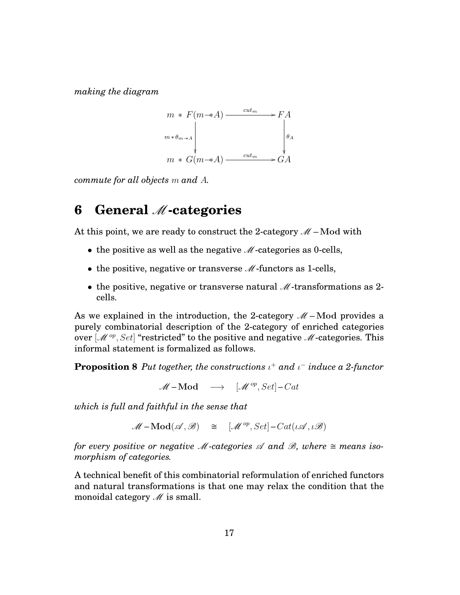*making the diagram*

$$
m * F(m \rightarrow A) \xrightarrow{cut_m} F A
$$
  
\n
$$
m * \theta_{m \rightarrow A}
$$
  
\n
$$
m * G(m \rightarrow A) \xrightarrow{cut_m} G A
$$

*commute for all objects m and A.*

#### **6 General** M**-categories**

At this point, we are ready to construct the 2-category  $M$  – Mod with

- the positive as well as the negative  $M$ -categories as 0-cells,
- the positive, negative or transverse  $M$ -functors as 1-cells,
- the positive, negative or transverse natural  $\mathcal{M}$ -transformations as 2cells.

As we explained in the introduction, the 2-category  $M$  – Mod provides a purely combinatorial description of the 2-category of enriched categories over  $[\mathcal{M}^{op}, Set]$  "restricted" to the positive and negative  $\mathcal{M}$ -categories. This informal statement is formalized as follows.

**Proposition 8** *Put together, the constructions ι* <sup>+</sup> *and ι* <sup>−</sup> *induce a 2-functor*

 $M - \text{Mod} \longrightarrow \left[ M^{op}, Set \right] - Cat$ 

*which is full and faithful in the sense that*

 $M - Mod(\mathcal{A}, \mathcal{B}) \cong [\mathcal{M}^{op}, Set] - Cat(\iota \mathcal{A}, \iota \mathcal{B})$ 

*for every positive or negative M-categories*  $\mathscr A$  *and*  $\mathscr B$ *, where*  $\cong$  *means isomorphism of categories.*

A technical benefit of this combinatorial reformulation of enriched functors and natural transformations is that one may relax the condition that the monoidal category  $\mathcal{M}$  is small.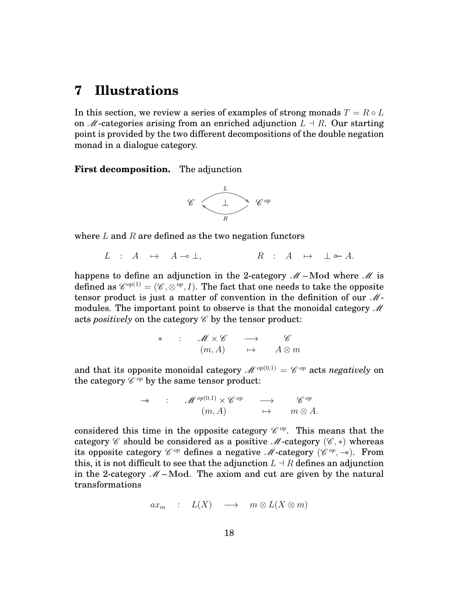### **7 Illustrations**

In this section, we review a series of examples of strong monads  $T = R \circ L$ on  $M$ -categories arising from an enriched adjunction  $L \dashv R$ . Our starting point is provided by the two different decompositions of the double negation monad in a dialogue category.

**First decomposition.** The adjunction



where *L* and *R* are defined as the two negation functors

$$
L : A \mapsto A \multimap \bot, \qquad R : A \mapsto \bot \circ A.
$$

happens to define an adjunction in the 2-category  $M$  – Mod where M is defined as  $\mathscr{C}^{op(1)} = (\mathscr{C}, \otimes^{op}, I).$  The fact that one needs to take the opposite tensor product is just a matter of convention in the definition of our  $M$ modules. The important point to observe is that the monoidal category  $\mathcal M$ acts *positively* on the category  $\mathscr C$  by the tensor product:

$$
* \quad : \quad M \times \mathscr{C} \quad \longrightarrow \quad \mathscr{C} \newline (m, A) \quad \mapsto \quad A \otimes m
$$

and that its opposite monoidal category  $\mathscr{M}^{op(0,1)} = \mathscr{C}^{op}$  acts *negatively* on the category  $\mathscr{C}^{op}$  by the same tensor product:

$$
\rightarrow \qquad : \qquad \mathscr{M}^{op(0,1)} \times \mathscr{C}^{op} \qquad \longrightarrow \qquad \mathscr{C}^{op} \qquad (m, A) \qquad \mapsto \qquad m \otimes A.
$$

considered this time in the opposite category  $\mathscr{C}^{op}$ . This means that the category  $\mathscr C$  should be considered as a positive  $\mathscr M$ -category  $(\mathscr C, \ast)$  whereas its opposite category  $\mathscr{C}^{op}$  defines a negative  $\mathscr{M}\text{-category }(\mathscr{C}^{op},\twoheadrightarrow).$  From this, it is not difficult to see that the adjunction  $L \doteq R$  defines an adjunction in the 2-category  $M$  – Mod. The axiom and cut are given by the natural transformations

 $ax_m$  :  $L(X)$  →  $m \otimes L(X \otimes m)$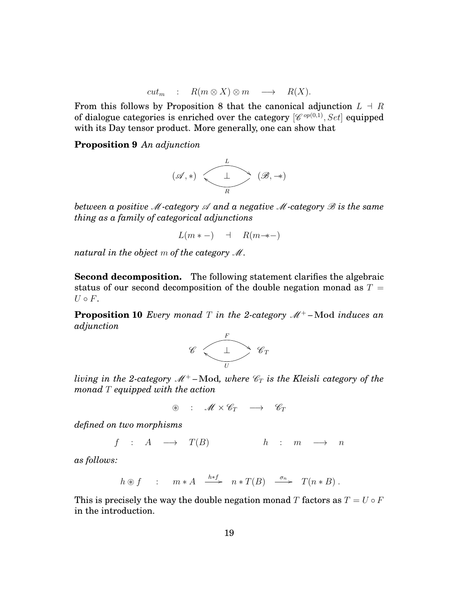$$
cut_m : R(m \otimes X) \otimes m \longrightarrow R(X).
$$

From this follows by Proposition 8 that the canonical adjunction  $L \doteq R$ of dialogue categories is enriched over the category  $[\mathscr{C}^{op(0,1)}, Set]$  equipped with its Day tensor product. More generally, one can show that

**Proposition 9** *An adjunction*



*between a positive* M*-category* A *and a negative* M*-category* B *is the same thing as a family of categorical adjunctions*

$$
L(m * -) \quad \dashv \quad R(m \to -)
$$

*natural in the object m of the category* M*.*

**Second decomposition.** The following statement clarifies the algebraic status of our second decomposition of the double negation monad as  $T =$  $U \circ F$ .

**Proposition 10** *Every monad T in the 2-category*  $M^+$  – Mod *induces an adjunction*



*living in the 2-category* M<sup>+</sup> *–***Mod***, where* C*<sup>T</sup> is the Kleisli category of the monad T equipped with the action*

$$
\circledast \quad : \quad \mathscr{M} \times \mathscr{C}_T \quad \longrightarrow \quad \mathscr{C}_T
$$

*defined on two morphisms*

$$
f : A \longrightarrow T(B) \qquad h : m \longrightarrow n
$$

*as follows:*

$$
h \circledast f
$$
 :  $m * A \xrightarrow{h * f} n * T(B) \xrightarrow{\sigma_n} T(n * B)$ .

This is precisely the way the double negation monad *T* factors as  $T = U \circ F$ in the introduction.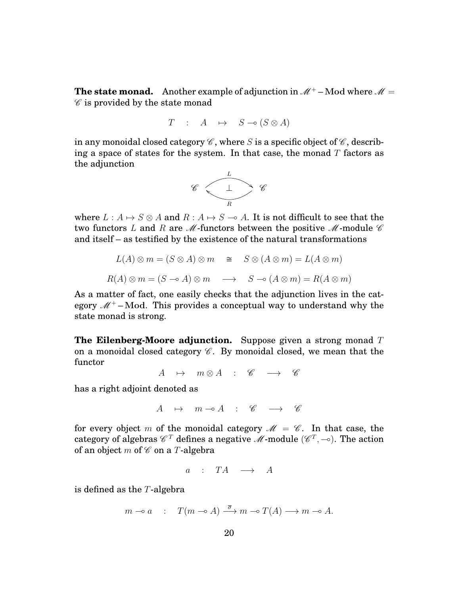**The state monad.** Another example of adjunction in  $\mathcal{M}^+$  – Mod where  $\mathcal{M} =$  $\mathscr C$  is provided by the state monad

$$
T : A \mapsto S \multimap (S \otimes A)
$$

in any monoidal closed category  $\mathscr C$ , where *S* is a specific object of  $\mathscr C$ , describing a space of states for the system. In that case, the monad *T* factors as the adjunction



where  $L : A \mapsto S \otimes A$  and  $R : A \mapsto S \multimap A$ . It is not difficult to see that the two functors *L* and *R* are *M*-functors between the positive *M*-module  $\mathscr C$ and itself – as testified by the existence of the natural transformations

$$
L(A) \otimes m = (S \otimes A) \otimes m \quad \cong \quad S \otimes (A \otimes m) = L(A \otimes m)
$$

$$
R(A) \otimes m = (S \multimap A) \otimes m \quad \longrightarrow \quad S \multimap (A \otimes m) = R(A \otimes m)
$$

As a matter of fact, one easily checks that the adjunction lives in the category  $M^+$ –Mod. This provides a conceptual way to understand why the state monad is strong.

**The Eilenberg-Moore adjunction.** Suppose given a strong monad *T* on a monoidal closed category  $\mathscr C$ . By monoidal closed, we mean that the functor

$$
A \rightarrow m \otimes A : \mathscr{C} \rightarrow \mathscr{C}
$$

has a right adjoint denoted as

$$
A \mapsto m \multimap A \ : \ \mathscr{C} \ \longrightarrow \ \mathscr{C}
$$

for every object *m* of the monoidal category  $\mathcal{M} = \mathcal{C}$ . In that case, the category of algebras  $\mathscr{C}^T$  defines a negative  $\mathscr{M}\text{-module }(\mathscr{C}^T,-\circ).$  The action of an object *m* of  $\mathscr C$  on a *T*-algebra

$$
a \quad : \quad TA \quad \longrightarrow \quad A
$$

is defined as the *T*-algebra

$$
m \to a
$$
 :  $T(m \to A) \xrightarrow{\overline{\sigma}} m \to T(A) \longrightarrow m \to A$ .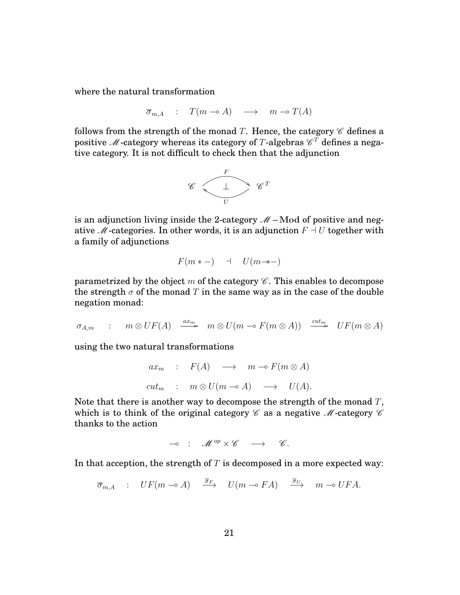where the natural transformation

$$
\overline{\sigma}_{m,A} : T(m \multimap A) \longrightarrow m \multimap T(A)
$$

follows from the strength of the monad *T*. Hence, the category  $\mathscr C$  defines a positive  $\mathscr M$ -category whereas its category of  $T$ -algebras  $\mathscr C^T$  defines a negative category. It is not difficult to check then that the adjunction



is an adjunction living inside the 2-category  $M$  – Mod of positive and negative *M*-categories. In other words, it is an adjunction  $F \dashv U$  together with a family of adjunctions

$$
F(m * -) \quad \dashv \quad U(m \to -)
$$

parametrized by the object  $m$  of the category  $\mathscr C$ . This enables to decompose the strength  $\sigma$  of the monad *T* in the same way as in the case of the double negation monad:

$$
\sigma_{A,m} \quad : \quad m \otimes UF(A) \quad \xrightarrow{ax_m} \quad m \otimes U(m \multimap F(m \otimes A)) \quad \xrightarrow{cut_m} \quad UF(m \otimes A)
$$

using the two natural transformations

$$
ax_m : F(A) \longrightarrow m \neg F(m \otimes A)
$$
  

$$
cut_m : m \otimes U(m \neg A) \longrightarrow U(A).
$$

Note that there is another way to decompose the strength of the monad *T*, which is to think of the original category  $\mathscr C$  as a negative  $\mathscr M$ -category  $\mathscr C$ thanks to the action

$$
\multimap \ : \ \mathscr{M}^{op} \times \mathscr{C} \quad \longrightarrow \quad \mathscr{C}.
$$

In that acception, the strength of *T* is decomposed in a more expected way:

$$
\overline{\sigma}_{m,A} : UF(m \multimap A) \xrightarrow{\overline{\sigma}_F} U(m \multimap FA) \xrightarrow{\overline{\sigma}_U} m \multimap UFA.
$$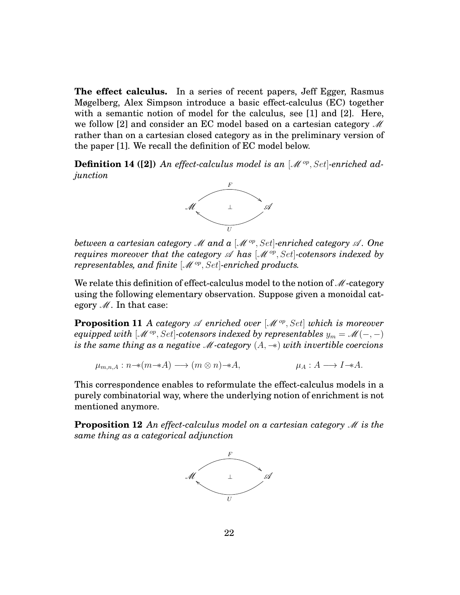**The effect calculus.** In a series of recent papers, Jeff Egger, Rasmus Møgelberg, Alex Simpson introduce a basic effect-calculus (EC) together with a semantic notion of model for the calculus, see [1] and [2]. Here, we follow [2] and consider an EC model based on a cartesian category  $\mathcal M$ rather than on a cartesian closed category as in the preliminary version of the paper [1]. We recall the definition of EC model below.

**Definition 14 ([2])** An effect-calculus model is an  $\mathcal{M}^{op}$ , Set-enriched ad*junction*



*between a cartesian category* M *and a* [M *op, Set*]*-enriched category* A *. One requires moreover that the category*  $\mathscr A$  *has*  $[\mathscr M^{op}, Set]$ *-cotensors indexed by representables, and finite* [M *op, Set*]*-enriched products.*

We relate this definition of effect-calculus model to the notion of  $M$ -category using the following elementary observation. Suppose given a monoidal category  $M$ . In that case:

**Proposition 11** *A category*  $\mathscr A$  *enriched over*  $[\mathscr M^{op}, Set]$  *which is moreover equipped with*  $[M^{op}, Set]$ -cotensors indexed by representables  $y_m = \mathcal{M}(-, -)$ *is the same thing as a negative* M*-category* (*A,* −∗) *with invertible coercions*

$$
\mu_{m,n,A}: n \to (m \to A) \longrightarrow (m \otimes n) \to A, \qquad \mu_A: A \to I \to A.
$$

This correspondence enables to reformulate the effect-calculus models in a purely combinatorial way, where the underlying notion of enrichment is not mentioned anymore.

**Proposition 12** An effect-calculus model on a cartesian category  $\mathcal{M}$  is the *same thing as a categorical adjunction*

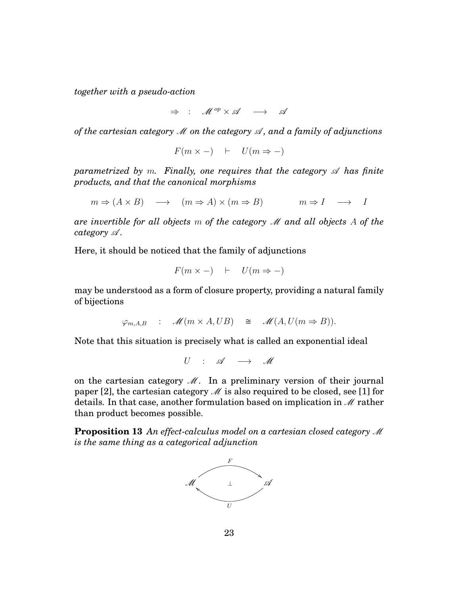*together with a pseudo-action*

 $\Rightarrow$  :  $M^{op} \times \mathcal{A} \rightarrow \mathcal{A}$ 

*of the cartesian category* M *on the category* A *, and a family of adjunctions*

$$
F(m \times -) \quad \vdash \quad U(m \Rightarrow -)
$$

*parametrized by m. Finally, one requires that the category*  $\mathscr A$  *has finite products, and that the canonical morphisms*

 $m \Rightarrow (A \times B) \longrightarrow (m \Rightarrow A) \times (m \Rightarrow B) \longrightarrow I \longrightarrow I$ 

*are invertible for all objects m of the category* M *and all objects A of the category*  $\mathscr A$ *.* 

Here, it should be noticed that the family of adjunctions

$$
F(m \times -) \quad \vdash \quad U(m \Rightarrow -)
$$

may be understood as a form of closure property, providing a natural family of bijections

$$
\varphi_{m,A,B} : \mathscr{M}(m \times A, UB) \cong \mathscr{M}(A, U(m \Rightarrow B)).
$$

Note that this situation is precisely what is called an exponential ideal

 $U$  :  $\mathscr{A} \longrightarrow \mathscr{M}$ 

on the cartesian category  $M$ . In a preliminary version of their journal paper [2], the cartesian category  $\mathcal M$  is also required to be closed, see [1] for details. In that case, another formulation based on implication in  $\mathcal M$  rather than product becomes possible.

**Proposition 13** *An effect-calculus model on a cartesian closed category* M *is the same thing as a categorical adjunction*

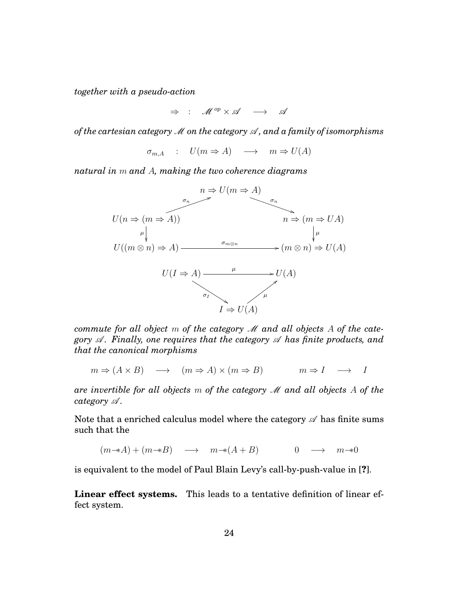*together with a pseudo-action*

 $\Rightarrow$  :  $M^{op} \times \mathcal{A} \rightarrow \mathcal{A}$ 

*of the cartesian category* M *on the category* A *, and a family of isomorphisms*

 $\sigma_{m,A}$  :  $U(m \Rightarrow A) \longrightarrow m \Rightarrow U(A)$ 

*natural in m and A, making the two coherence diagrams*



*commute for all object m of the category* M *and all objects A of the category*  $\mathscr A$ *. Finally, one requires that the category*  $\mathscr A$  *has finite products, and that the canonical morphisms*

$$
m \Rightarrow (A \times B) \longrightarrow (m \Rightarrow A) \times (m \Rightarrow B) \longrightarrow n \Rightarrow I \longrightarrow I
$$

*are invertible for all objects m of the category* M *and all objects A of the category*  $\mathscr A$ *.* 

Note that a enriched calculus model where the category  $\mathscr A$  has finite sums such that the

 $(m \rightarrow A) + (m \rightarrow B) \rightarrow m \rightarrow (A + B)$  0  $\rightarrow m \rightarrow 0$ 

is equivalent to the model of Paul Blain Levy's call-by-push-value in [**?**].

**Linear effect systems.** This leads to a tentative definition of linear effect system.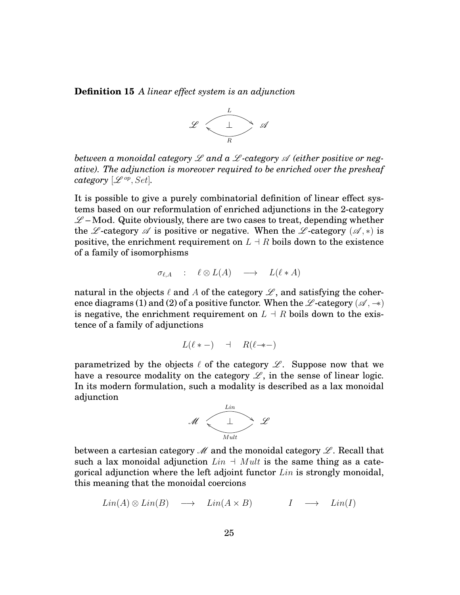**Definition 15** *A linear effect system is an adjunction*



*between a monoidal category* L *and a* L *-category* A *(either positive or negative). The adjunction is moreover required to be enriched over the presheaf category*  $[\mathscr{L}^{op}, Set]$ *.* 

It is possible to give a purely combinatorial definition of linear effect systems based on our reformulation of enriched adjunctions in the 2-category  $\mathscr{L}$  – Mod. Quite obviously, there are two cases to treat, depending whether the L-category  $\mathscr A$  is positive or negative. When the L-category  $(\mathscr A, \ast)$  is positive, the enrichment requirement on  $L \doteq R$  boils down to the existence of a family of isomorphisms

$$
\sigma_{\ell,A} \quad : \quad \ell \otimes L(A) \quad \longrightarrow \quad L(\ell \ast A)
$$

natural in the objects  $\ell$  and  $A$  of the category  $\mathscr L$ , and satisfying the coherence diagrams (1) and (2) of a positive functor. When the L -category ( $\mathscr{A}, \rightarrow$ ) is negative, the enrichment requirement on  $L \dashv R$  boils down to the existence of a family of adjunctions

$$
L(\ell * -) \quad \dashv \quad R(\ell \to -)
$$

parametrized by the objects  $\ell$  of the category  $\mathscr{L}$ . Suppose now that we have a resource modality on the category  $\mathscr{L}$ , in the sense of linear logic. In its modern formulation, such a modality is described as a lax monoidal adjunction



between a cartesian category  $\mathcal M$  and the monoidal category  $\mathcal L$ . Recall that such a lax monoidal adjunction  $Lin + Mult$  is the same thing as a categorical adjunction where the left adjoint functor *Lin* is strongly monoidal, this meaning that the monoidal coercions

$$
Lin(A) \otimes Lin(B) \longrightarrow Lin(A \times B) \qquad I \longrightarrow Lin(I)
$$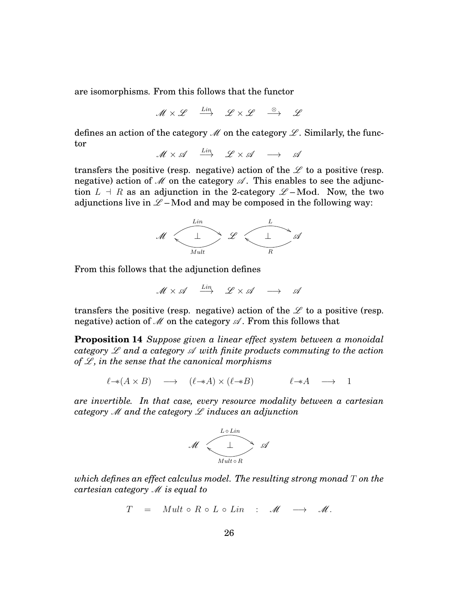are isomorphisms. From this follows that the functor

$$
\mathscr{M}\times \mathscr{L} \quad \stackrel{Lin}{\longrightarrow} \quad \mathscr{L}\times \mathscr{L} \quad \stackrel{\otimes}{\longrightarrow} \quad \mathscr{L}
$$

defines an action of the category  $\mathcal M$  on the category  $\mathcal L$ . Similarly, the functor

 $M \times \mathscr{A} \quad \stackrel{Lin}{\longrightarrow} \quad \mathscr{L} \times \mathscr{A} \quad \longrightarrow \quad \mathscr{A}$ 

transfers the positive (resp. negative) action of the  $\mathscr L$  to a positive (resp. negative) action of  $\mathcal M$  on the category  $\mathcal A$ . This enables to see the adjunction  $L \dashv R$  as an adjunction in the 2-category  $\mathscr{L}-Mod$ . Now, the two adjunctions live in  $\mathcal{L}$  – Mod and may be composed in the following way:



From this follows that the adjunction defines

$$
\mathscr{M}\times\mathscr{A}\quad\stackrel{Lin}{\longrightarrow}\quad\mathscr{L}\times\mathscr{A}\quad\longrightarrow\quad\mathscr{A}
$$

transfers the positive (resp. negative) action of the  $\mathscr L$  to a positive (resp. negative) action of  $M$  on the category  $\mathscr A$ . From this follows that

**Proposition 14** *Suppose given a linear effect system between a monoidal category* L *and a category* A *with finite products commuting to the action of*  $\mathscr L$ *, in the sense that the canonical morphisms* 

$$
\ell \rightarrow (A \times B) \quad \longrightarrow \quad (\ell \rightarrow A) \times (\ell \rightarrow B) \qquad \qquad \ell \rightarrow A \quad \longrightarrow \quad 1
$$

*are invertible. In that case, every resource modality between a cartesian category* M *and the category* L *induces an adjunction*



*which defines an effect calculus model. The resulting strong monad T on the cartesian category* M *is equal to*

$$
T = Mult \circ R \circ L \circ Lin : \mathscr{M} \longrightarrow \mathscr{M}.
$$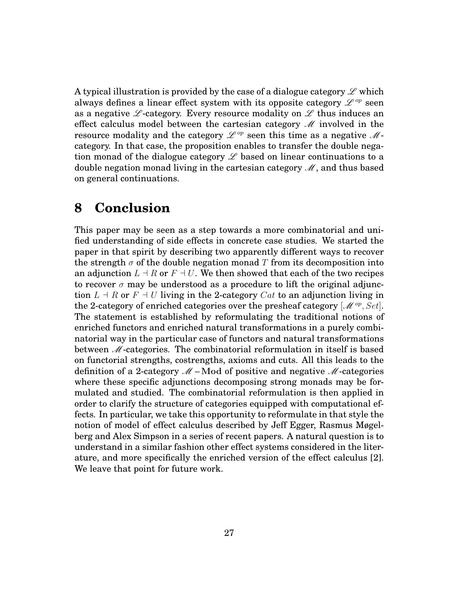A typical illustration is provided by the case of a dialogue category  $\mathscr L$  which always defines a linear effect system with its opposite category  $\mathscr{L}^{op}$  seen as a negative  $\mathscr L$ -category. Every resource modality on  $\mathscr L$  thus induces an effect calculus model between the cartesian category  $\mathcal M$  involved in the resource modality and the category  $\mathscr{L}^{op}$  seen this time as a negative  $\mathscr{M}$ category. In that case, the proposition enables to transfer the double negation monad of the dialogue category  $\mathscr L$  based on linear continuations to a double negation monad living in the cartesian category  $\mathcal M$ , and thus based on general continuations.

### **8 Conclusion**

This paper may be seen as a step towards a more combinatorial and unified understanding of side effects in concrete case studies. We started the paper in that spirit by describing two apparently different ways to recover the strength  $\sigma$  of the double negation monad T from its decomposition into an adjunction  $L \dashv R$  or  $F \dashv U$ . We then showed that each of the two recipes to recover  $\sigma$  may be understood as a procedure to lift the original adjunction  $L \dashv R$  or  $F \dashv U$  living in the 2-category *Cat* to an adjunction living in the 2-category of enriched categories over the presheaf category [M *op, Set*]. The statement is established by reformulating the traditional notions of enriched functors and enriched natural transformations in a purely combinatorial way in the particular case of functors and natural transformations between M-categories. The combinatorial reformulation in itself is based on functorial strengths, costrengths, axioms and cuts. All this leads to the definition of a 2-category  $M$  – Mod of positive and negative M-categories where these specific adjunctions decomposing strong monads may be formulated and studied. The combinatorial reformulation is then applied in order to clarify the structure of categories equipped with computational effects. In particular, we take this opportunity to reformulate in that style the notion of model of effect calculus described by Jeff Egger, Rasmus Møgelberg and Alex Simpson in a series of recent papers. A natural question is to understand in a similar fashion other effect systems considered in the literature, and more specifically the enriched version of the effect calculus [2]. We leave that point for future work.